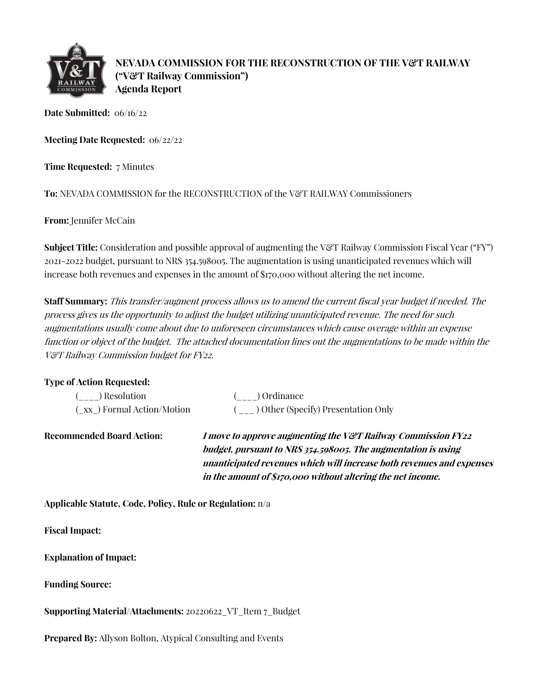

**NEVADA COMMISSION FOR THE RECONSTRUCTION OF THE V&T RAILWAY ("V&T Railway Commission") Agenda Report**

**Date Submitted:** 06/16/22

**Meeting Date Requested:** 06/22/22

**Time Requested:** 7 Minutes

To: NEVADA COMMISSION for the RECONSTRUCTION of the V&T RAILWAY Commissioners

**From:** Jennifer McCain

**Subject Title:** Consideration and possible approval of augmenting the V&T Railway Commission Fiscal Year ("FY") 2021-2022 budget, pursuant to NRS 354.598005. The augmentation is using unanticipated revenues which will increase both revenues and expenses in the amount of \$170,000 without altering the net income.

**Staff Summary:** This transfer/augment process allows us to amend the current fiscal year budget if needed. The process gives us the opportunity to adjust the budget utilizing unanticipated revenue. The need for such augmentations usually come about due to unforeseen circumstances which cause overage within an expense function or object of the budget. The attached documentation lines out the augmentations to be made within the V&T Railway Commission budget for FY22.

| <b>Type of Action Requested:</b> |                                                                                                                                          |
|----------------------------------|------------------------------------------------------------------------------------------------------------------------------------------|
| Resolution                       | ) Ordinance                                                                                                                              |
| (xx) Formal Action/Motion        | $(\_ \_ )$ Other (Specify) Presentation Only                                                                                             |
| <b>Recommended Board Action:</b> | <i>I move to approve augmenting the V&amp;T Railway Commission FY22</i><br>budget, pursuant to NRS 354.598005. The augmentation is using |
|                                  | unanticipated revenues which will increase both revenues and expenses                                                                    |
|                                  | in the amount of \$170,000 without altering the net income.                                                                              |

**Applicable Statute, Code, Policy, Rule or Regulation:** n/a

**Fiscal Impact:**

**Explanation of Impact:**

**Funding Source:**

**Supporting Material/Attachments:** 20220622\_VT\_Item 7\_Budget

**Prepared By:** Allyson Bolton, Atypical Consulting and Events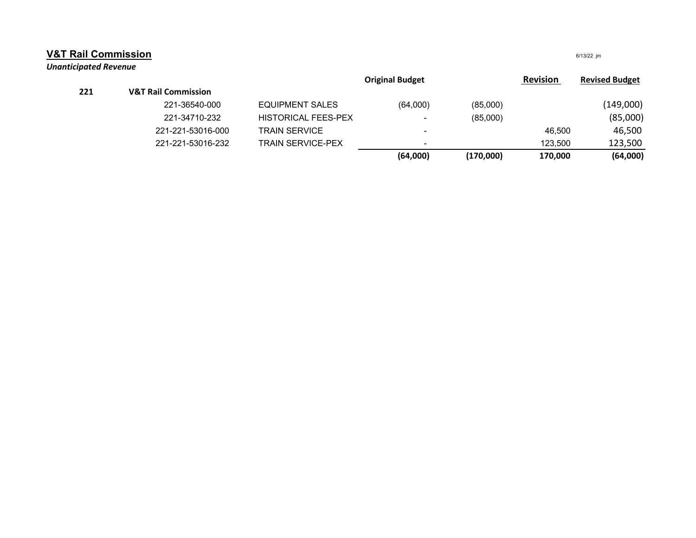| <b>V&amp;T Rail Commission</b> |                                |                            |                        |           | 6/13/22 jm      |                       |
|--------------------------------|--------------------------------|----------------------------|------------------------|-----------|-----------------|-----------------------|
| <b>Unanticipated Revenue</b>   |                                |                            | <b>Original Budget</b> |           | <b>Revision</b> | <b>Revised Budget</b> |
| 221                            | <b>V&amp;T Rail Commission</b> |                            |                        |           |                 |                       |
|                                | 221-36540-000                  | <b>EQUIPMENT SALES</b>     | (64,000)               | (85,000)  |                 | (149,000)             |
|                                | 221-34710-232                  | <b>HISTORICAL FEES-PEX</b> | ۰                      | (85,000)  |                 | (85,000)              |
|                                | 221-221-53016-000              | <b>TRAIN SERVICE</b>       | ۰                      |           | 46,500          | 46,500                |
|                                | 221-221-53016-232              | <b>TRAIN SERVICE-PEX</b>   | -                      |           | 123,500         | 123,500               |
|                                |                                |                            | (64,000)               | (170,000) | 170,000         | (64,000)              |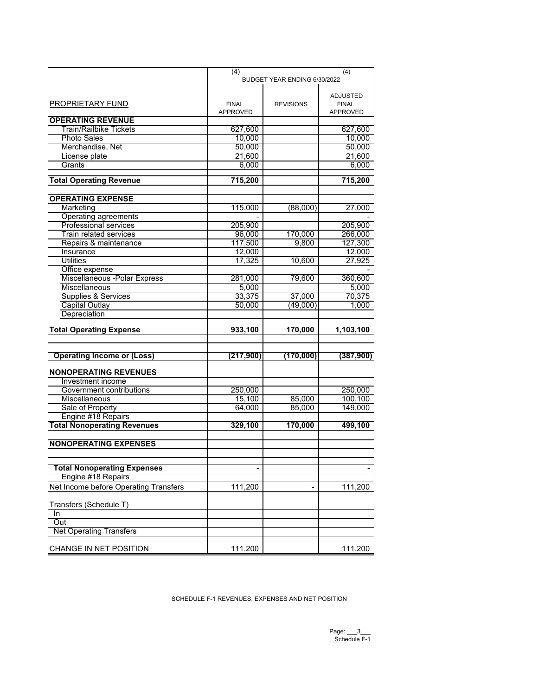|                                       | (4)<br>(4)                   |                  |                 |
|---------------------------------------|------------------------------|------------------|-----------------|
|                                       | BUDGET YEAR ENDING 6/30/2022 |                  |                 |
|                                       |                              |                  |                 |
|                                       |                              |                  | <b>ADJUSTED</b> |
| PROPRIETARY FUND                      | <b>FINAL</b>                 | <b>REVISIONS</b> | <b>FINAL</b>    |
|                                       | <b>APPROVED</b>              |                  | <b>APPROVED</b> |
| <b>OPERATING REVENUE</b>              |                              |                  |                 |
| Train/Railbike Tickets                | 627,600                      |                  | 627,600         |
| <b>Photo Sales</b>                    | 10,000                       |                  | 10,000          |
| Merchandise, Net                      | 50,000                       |                  | 50,000          |
|                                       | 21.600                       |                  | 21,600          |
| License plate                         |                              |                  |                 |
| Grants                                | 6,000                        |                  | 6,000           |
| <b>Total Operating Revenue</b>        | 715,200                      |                  | 715,200         |
|                                       |                              |                  |                 |
|                                       |                              |                  |                 |
| <b>OPERATING EXPENSE</b>              |                              |                  |                 |
| Marketing                             | 115,000                      | (88,000)         | 27,000          |
| Operating agreements                  |                              |                  |                 |
| Professional services                 | 205,900                      |                  | 205,900         |
| <b>Train related services</b>         | 96,000                       | 170,000          | 266,000         |
| Repairs & maintenance                 | 117,500                      | 9,800            | 127,300         |
| Insurance                             | 12,000                       |                  | 12,000          |
| <b>Utilities</b>                      | 17,325                       | 10,600           | 27,925          |
| Office expense                        |                              |                  |                 |
| Miscellaneous - Polar Express         | 281,000                      | 79,600           | 360,600         |
| Miscellaneous                         | 5,000                        |                  | 5,000           |
| Supplies & Services                   | 33,375                       | 37,000           | 70,375          |
| <b>Capital Outlay</b>                 | 50,000                       | (49,000)         | 1,000           |
| Depreciation                          |                              |                  |                 |
|                                       |                              |                  |                 |
| <b>Total Operating Expense</b>        | 933,100                      | 170,000          | 1,103,100       |
|                                       |                              |                  |                 |
|                                       |                              |                  |                 |
| <b>Operating Income or (Loss)</b>     | (217,900)                    | (170,000)        | (387,900)       |
|                                       |                              |                  |                 |
| <b>NONOPERATING REVENUES</b>          |                              |                  |                 |
| Investment income                     |                              |                  |                 |
| Government contributions              | 250,000                      |                  | 250,000         |
| Miscellaneous                         | 15,100                       | 85,000           | 100,100         |
| Sale of Property                      | 64,000                       | 85,000           | 149,000         |
| Engine #18 Repairs                    |                              |                  |                 |
|                                       |                              |                  |                 |
| <b>Total Nonoperating Revenues</b>    | 329,100                      | 170,000          | 499,100         |
|                                       |                              |                  |                 |
| <b>NONOPERATING EXPENSES</b>          |                              |                  |                 |
|                                       |                              |                  |                 |
|                                       |                              |                  |                 |
| <b>Total Nonoperating Expenses</b>    | $\blacksquare$               |                  | $\blacksquare$  |
| Engine #18 Repairs                    |                              |                  |                 |
| Net Income before Operating Transfers | 111,200                      |                  | 111,200         |
|                                       |                              |                  |                 |
| Transfers (Schedule T)                |                              |                  |                 |
| In                                    |                              |                  |                 |
| Out                                   |                              |                  |                 |
| <b>Net Operating Transfers</b>        |                              |                  |                 |
|                                       |                              |                  |                 |
| CHANGE IN NET POSITION                | 111,200                      |                  | 111,200         |
|                                       |                              |                  |                 |

SCHEDULE F-1 REVENUES, EXPENSES AND NET POSITION